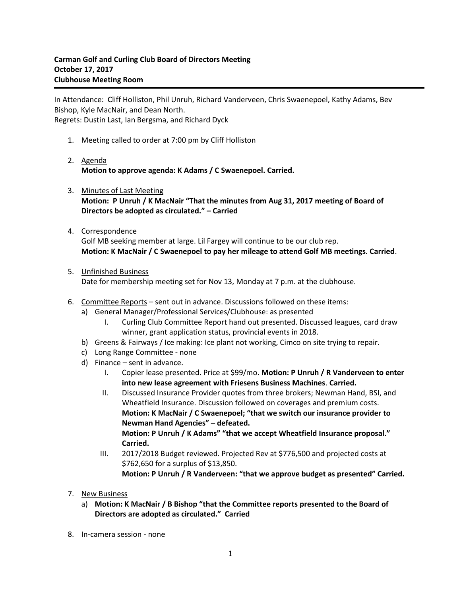In Attendance: Cliff Holliston, Phil Unruh, Richard Vanderveen, Chris Swaenepoel, Kathy Adams, Bev Bishop, Kyle MacNair, and Dean North. Regrets: Dustin Last, Ian Bergsma, and Richard Dyck

- 1. Meeting called to order at 7:00 pm by Cliff Holliston
- 2. Agenda **Motion to approve agenda: K Adams / C Swaenepoel. Carried.**
- 3. Minutes of Last Meeting **Motion: P Unruh / K MacNair "That the minutes from Aug 31, 2017 meeting of Board of Directors be adopted as circulated." – Carried**
- 4. Correspondence

Golf MB seeking member at large. Lil Fargey will continue to be our club rep. **Motion: K MacNair / C Swaenepoel to pay her mileage to attend Golf MB meetings. Carried**.

5. Unfinished Business

Date for membership meeting set for Nov 13, Monday at 7 p.m. at the clubhouse.

- 6. Committee Reports sent out in advance. Discussions followed on these items:
	- a) General Manager/Professional Services/Clubhouse: as presented
		- I. Curling Club Committee Report hand out presented. Discussed leagues, card draw winner, grant application status, provincial events in 2018.
	- b) Greens & Fairways / Ice making: Ice plant not working, Cimco on site trying to repair.
	- c) Long Range Committee none
	- d) Finance sent in advance.
		- I. Copier lease presented. Price at \$99/mo. **Motion: P Unruh / R Vanderveen to enter into new lease agreement with Friesens Business Machines**. **Carried.**
		- II. Discussed Insurance Provider quotes from three brokers; Newman Hand, BSI, and Wheatfield Insurance. Discussion followed on coverages and premium costs. **Motion: K MacNair / C Swaenepoel; "that we switch our insurance provider to Newman Hand Agencies" – defeated. Motion: P Unruh / K Adams" "that we accept Wheatfield Insurance proposal." Carried.**
		- III. 2017/2018 Budget reviewed. Projected Rev at \$776,500 and projected costs at \$762,650 for a surplus of \$13,850. **Motion: P Unruh / R Vanderveen: "that we approve budget as presented" Carried.**
- 7. New Business
	- a) **Motion: K MacNair / B Bishop "that the Committee reports presented to the Board of Directors are adopted as circulated." Carried**
- 8. In-camera session none